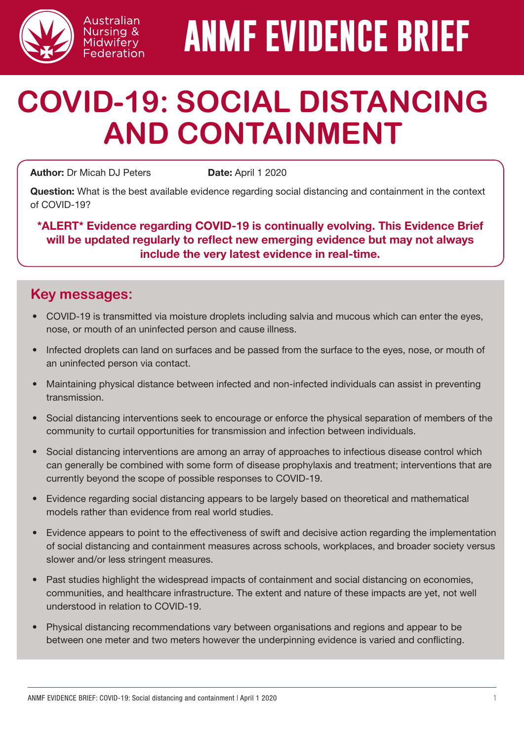

**ANMF EVIDENCE BRIEF**

# **COVID-19: SOCIAL DISTANCING AND CONTAINMENT**

**Author:** Dr Micah DJ Peters **Date:** April 1 2020

Australian Nursing & Midwifery Federation

Question: What is the best available evidence regarding social distancing and containment in the context of COVID-19?

\*ALERT\* Evidence regarding COVID-19 is continually evolving. This Evidence Brief will be updated regularly to reflect new emerging evidence but may not always include the very latest evidence in real-time.

### **Key messages:**

- COVID-19 is transmitted via moisture droplets including salvia and mucous which can enter the eyes, nose, or mouth of an uninfected person and cause illness.
- Infected droplets can land on surfaces and be passed from the surface to the eyes, nose, or mouth of an uninfected person via contact.
- Maintaining physical distance between infected and non-infected individuals can assist in preventing transmission.
- Social distancing interventions seek to encourage or enforce the physical separation of members of the community to curtail opportunities for transmission and infection between individuals.
- Social distancing interventions are among an array of approaches to infectious disease control which can generally be combined with some form of disease prophylaxis and treatment; interventions that are currently beyond the scope of possible responses to COVID-19.
- Evidence regarding social distancing appears to be largely based on theoretical and mathematical models rather than evidence from real world studies.
- Evidence appears to point to the effectiveness of swift and decisive action regarding the implementation of social distancing and containment measures across schools, workplaces, and broader society versus slower and/or less stringent measures.
- Past studies highlight the widespread impacts of containment and social distancing on economies, communities, and healthcare infrastructure. The extent and nature of these impacts are yet, not well understood in relation to COVID-19.
- Physical distancing recommendations vary between organisations and regions and appear to be between one meter and two meters however the underpinning evidence is varied and conflicting.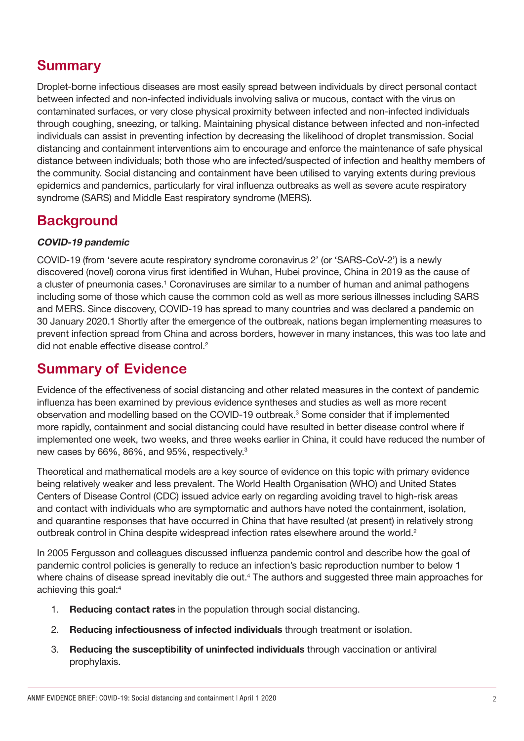## **Summary**

Droplet-borne infectious diseases are most easily spread between individuals by direct personal contact between infected and non-infected individuals involving saliva or mucous, contact with the virus on contaminated surfaces, or very close physical proximity between infected and non-infected individuals through coughing, sneezing, or talking. Maintaining physical distance between infected and non-infected individuals can assist in preventing infection by decreasing the likelihood of droplet transmission. Social distancing and containment interventions aim to encourage and enforce the maintenance of safe physical distance between individuals; both those who are infected/suspected of infection and healthy members of the community. Social distancing and containment have been utilised to varying extents during previous epidemics and pandemics, particularly for viral influenza outbreaks as well as severe acute respiratory syndrome (SARS) and Middle East respiratory syndrome (MERS).

### **Background**

#### COVID-19 pandemic

COVID-19 (from 'severe acute respiratory syndrome coronavirus 2' (or 'SARS-CoV-2') is a newly discovered (novel) corona virus first identified in Wuhan, Hubei province, China in 2019 as the cause of a cluster of pneumonia cases.<sup>1</sup> Coronaviruses are similar to a number of human and animal pathogens including some of those which cause the common cold as well as more serious illnesses including SARS and MERS. Since discovery, COVID-19 has spread to many countries and was declared a pandemic on 30 January 2020.1 Shortly after the emergence of the outbreak, nations began implementing measures to prevent infection spread from China and across borders, however in many instances, this was too late and did not enable effective disease control.<sup>2</sup>

#### **Summary of Evidence**

Evidence of the effectiveness of social distancing and other related measures in the context of pandemic influenza has been examined by previous evidence syntheses and studies as well as more recent observation and modelling based on the COVID-19 outbreak.<sup>3</sup> Some consider that if implemented more rapidly, containment and social distancing could have resulted in better disease control where if implemented one week, two weeks, and three weeks earlier in China, it could have reduced the number of new cases by 66%, 86%, and 95%, respectively.3

Theoretical and mathematical models are a key source of evidence on this topic with primary evidence being relatively weaker and less prevalent. The World Health Organisation (WHO) and United States Centers of Disease Control (CDC) issued advice early on regarding avoiding travel to high-risk areas and contact with individuals who are symptomatic and authors have noted the containment, isolation, and quarantine responses that have occurred in China that have resulted (at present) in relatively strong outbreak control in China despite widespread infection rates elsewhere around the world.<sup>2</sup>

In 2005 Fergusson and colleagues discussed influenza pandemic control and describe how the goal of pandemic control policies is generally to reduce an infection's basic reproduction number to below 1 where chains of disease spread inevitably die out.<sup>4</sup> The authors and suggested three main approaches for achieving this goal:4

- 1. Reducing contact rates in the population through social distancing.
- 2. Reducing infectiousness of infected individuals through treatment or isolation.
- 3. Reducing the susceptibility of uninfected individuals through vaccination or antiviral prophylaxis.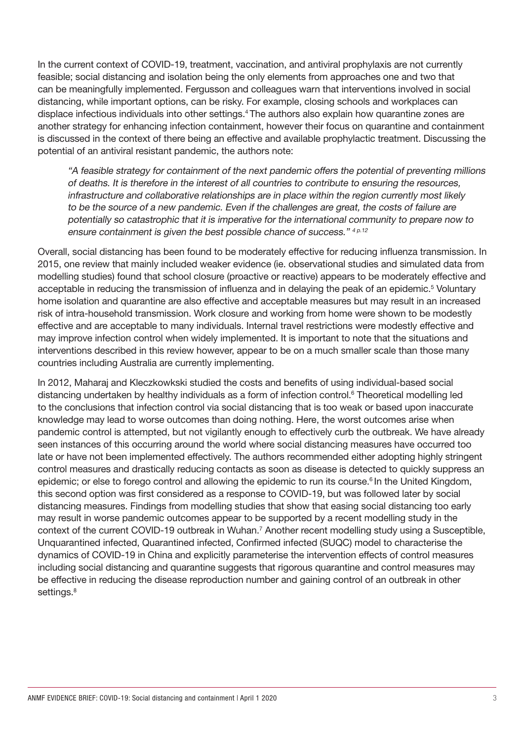In the current context of COVID-19, treatment, vaccination, and antiviral prophylaxis are not currently feasible; social distancing and isolation being the only elements from approaches one and two that can be meaningfully implemented. Fergusson and colleagues warn that interventions involved in social distancing, while important options, can be risky. For example, closing schools and workplaces can displace infectious individuals into other settings.4 The authors also explain how quarantine zones are another strategy for enhancing infection containment, however their focus on quarantine and containment is discussed in the context of there being an effective and available prophylactic treatment. Discussing the potential of an antiviral resistant pandemic, the authors note:

"A feasible strategy for containment of the next pandemic offers the potential of preventing millions of deaths. It is therefore in the interest of all countries to contribute to ensuring the resources, infrastructure and collaborative relationships are in place within the region currently most likely to be the source of a new pandemic. Even if the challenges are great, the costs of failure are potentially so catastrophic that it is imperative for the international community to prepare now to ensure containment is given the best possible chance of success." 4 p.12

Overall, social distancing has been found to be moderately effective for reducing influenza transmission. In 2015, one review that mainly included weaker evidence (ie. observational studies and simulated data from modelling studies) found that school closure (proactive or reactive) appears to be moderately effective and acceptable in reducing the transmission of influenza and in delaying the peak of an epidemic.<sup>5</sup> Voluntary home isolation and quarantine are also effective and acceptable measures but may result in an increased risk of intra-household transmission. Work closure and working from home were shown to be modestly effective and are acceptable to many individuals. Internal travel restrictions were modestly effective and may improve infection control when widely implemented. It is important to note that the situations and interventions described in this review however, appear to be on a much smaller scale than those many countries including Australia are currently implementing.

In 2012, Maharaj and Kleczkowkski studied the costs and benefits of using individual-based social distancing undertaken by healthy individuals as a form of infection control.<sup>6</sup> Theoretical modelling led to the conclusions that infection control via social distancing that is too weak or based upon inaccurate knowledge may lead to worse outcomes than doing nothing. Here, the worst outcomes arise when pandemic control is attempted, but not vigilantly enough to effectively curb the outbreak. We have already seen instances of this occurring around the world where social distancing measures have occurred too late or have not been implemented effectively. The authors recommended either adopting highly stringent control measures and drastically reducing contacts as soon as disease is detected to quickly suppress an epidemic; or else to forego control and allowing the epidemic to run its course.<sup>6</sup> In the United Kingdom, this second option was first considered as a response to COVID-19, but was followed later by social distancing measures. Findings from modelling studies that show that easing social distancing too early may result in worse pandemic outcomes appear to be supported by a recent modelling study in the context of the current COVID-19 outbreak in Wuhan.<sup>7</sup> Another recent modelling study using a Susceptible, Unquarantined infected, Quarantined infected, Confirmed infected (SUQC) model to characterise the dynamics of COVID-19 in China and explicitly parameterise the intervention effects of control measures including social distancing and quarantine suggests that rigorous quarantine and control measures may be effective in reducing the disease reproduction number and gaining control of an outbreak in other settings.<sup>8</sup>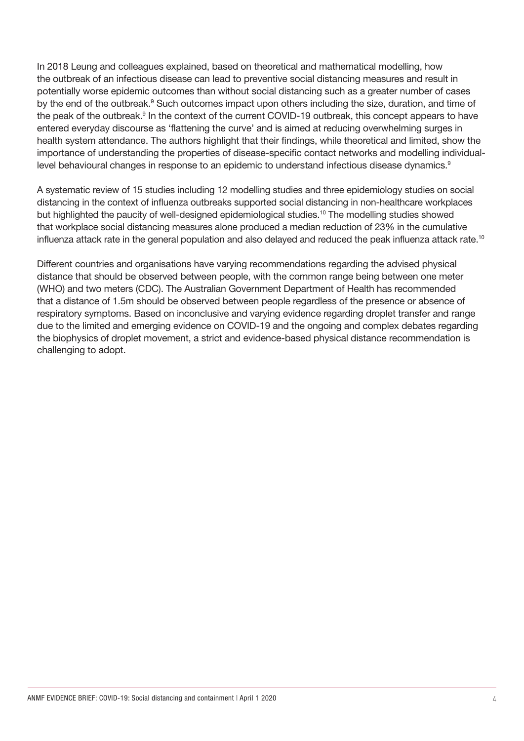In 2018 Leung and colleagues explained, based on theoretical and mathematical modelling, how the outbreak of an infectious disease can lead to preventive social distancing measures and result in potentially worse epidemic outcomes than without social distancing such as a greater number of cases by the end of the outbreak.<sup>9</sup> Such outcomes impact upon others including the size, duration, and time of the peak of the outbreak.<sup>9</sup> In the context of the current COVID-19 outbreak, this concept appears to have entered everyday discourse as 'flattening the curve' and is aimed at reducing overwhelming surges in health system attendance. The authors highlight that their findings, while theoretical and limited, show the importance of understanding the properties of disease-specific contact networks and modelling individuallevel behavioural changes in response to an epidemic to understand infectious disease dynamics.<sup>9</sup>

A systematic review of 15 studies including 12 modelling studies and three epidemiology studies on social distancing in the context of influenza outbreaks supported social distancing in non-healthcare workplaces but highlighted the paucity of well-designed epidemiological studies.<sup>10</sup> The modelling studies showed that workplace social distancing measures alone produced a median reduction of 23% in the cumulative influenza attack rate in the general population and also delayed and reduced the peak influenza attack rate.10

Different countries and organisations have varying recommendations regarding the advised physical distance that should be observed between people, with the common range being between one meter (WHO) and two meters (CDC). The Australian Government Department of Health has recommended that a distance of 1.5m should be observed between people regardless of the presence or absence of respiratory symptoms. Based on inconclusive and varying evidence regarding droplet transfer and range due to the limited and emerging evidence on COVID-19 and the ongoing and complex debates regarding the biophysics of droplet movement, a strict and evidence-based physical distance recommendation is challenging to adopt.